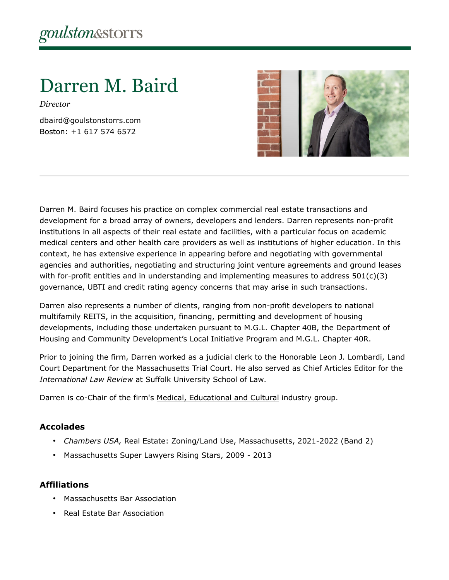# Darren M. Baird

*Director*

[dbaird@goulstonstorrs.com](mailto:dbaird@goulstonstorrs.com) Boston: +1 617 574 6572



Darren M. Baird focuses his practice on complex commercial real estate transactions and development for a broad array of owners, developers and lenders. Darren represents non-profit institutions in all aspects of their real estate and facilities, with a particular focus on academic medical centers and other health care providers as well as institutions of higher education. In this context, he has extensive experience in appearing before and negotiating with governmental agencies and authorities, negotiating and structuring joint venture agreements and ground leases with for-profit entities and in understanding and implementing measures to address  $501(c)(3)$ governance, UBTI and credit rating agency concerns that may arise in such transactions.

Darren also represents a number of clients, ranging from non-profit developers to national multifamily REITS, in the acquisition, financing, permitting and development of housing developments, including those undertaken pursuant to M.G.L. Chapter 40B, the Department of Housing and Community Development's Local Initiative Program and M.G.L. Chapter 40R.

Prior to joining the firm, Darren worked as a judicial clerk to the Honorable Leon J. Lombardi, Land Court Department for the Massachusetts Trial Court. He also served as Chief Articles Editor for the *International Law Review* at Suffolk University School of Law.

Darren is co-Chair of the firm's [Medical, Educational and Cultural](http://goulstonstorrs.gjstaging.com/medical-educational-cultural-institutions/) industry group.

#### **Accolades**

- *Chambers USA,* Real Estate: Zoning/Land Use, Massachusetts, 2021-2022 (Band 2)
- Massachusetts Super Lawyers Rising Stars, 2009 2013

#### **Affiliations**

- Massachusetts Bar Association
- Real Estate Bar Association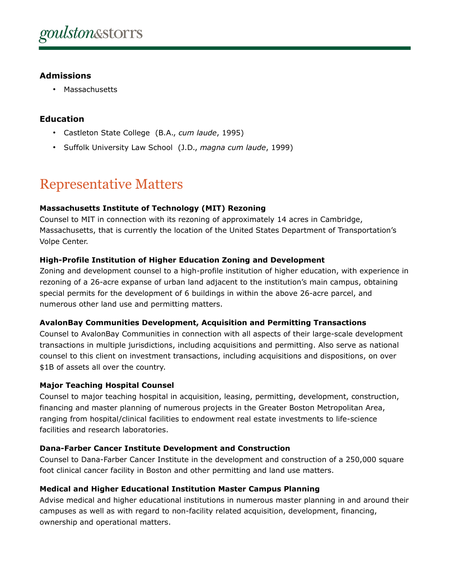### **Admissions**

• Massachusetts

# **Education**

- Castleton State College (B.A., *cum laude*, 1995)
- Suffolk University Law School (J.D., *magna cum laude*, 1999)

# Representative Matters

#### **Massachusetts Institute of Technology (MIT) Rezoning**

Counsel to MIT in connection with its rezoning of approximately 14 acres in Cambridge, Massachusetts, that is currently the location of the United States Department of Transportation's Volpe Center.

#### **High-Profile Institution of Higher Education Zoning and Development**

Zoning and development counsel to a high-profile institution of higher education, with experience in rezoning of a 26-acre expanse of urban land adjacent to the institution's main campus, obtaining special permits for the development of 6 buildings in within the above 26-acre parcel, and numerous other land use and permitting matters.

#### **AvalonBay Communities Development, Acquisition and Permitting Transactions**

Counsel to AvalonBay Communities in connection with all aspects of their large-scale development transactions in multiple jurisdictions, including acquisitions and permitting. Also serve as national counsel to this client on investment transactions, including acquisitions and dispositions, on over \$1B of assets all over the country.

#### **Major Teaching Hospital Counsel**

Counsel to major teaching hospital in acquisition, leasing, permitting, development, construction, financing and master planning of numerous projects in the Greater Boston Metropolitan Area, ranging from hospital/clinical facilities to endowment real estate investments to life-science facilities and research laboratories.

#### **Dana-Farber Cancer Institute Development and Construction**

Counsel to Dana-Farber Cancer Institute in the development and construction of a 250,000 square foot clinical cancer facility in Boston and other permitting and land use matters.

#### **Medical and Higher Educational Institution Master Campus Planning**

Advise medical and higher educational institutions in numerous master planning in and around their campuses as well as with regard to non-facility related acquisition, development, financing, ownership and operational matters.